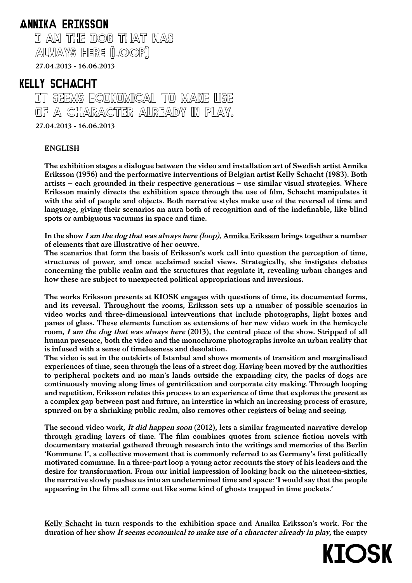## ANNIKa ERIKsson

 I aM THE DOG THaT Was aLWays HERE (LOOP) 27.04.2013 - 16.06.2013

## KELLY sCHACHT

 It seems economical to make use of a character already in play. 27.04.2013 - 16.06.2013

## ENGLISH

The exhibition stages a dialogue between the video and installation art of Swedish artist Annika Eriksson (1956) and the performative interventions of Belgian artist Kelly Schacht (1983). Both artists – each grounded in their respective generations – use similar visual strategies. Where Eriksson mainly directs the exhibition space through the use of film, Schacht manipulates it with the aid of people and objects. Both narrative styles make use of the reversal of time and language, giving their scenarios an aura both of recognition and of the indefinable, like blind spots or ambiguous vacuums in space and time.

In the show I am the dog that was always here (loop), Annika Eriksson brings together a number of elements that are illustrative of her oeuvre.

The scenarios that form the basis of Eriksson's work call into question the perception of time, structures of power, and once acclaimed social views. Strategically, she instigates debates concerning the public realm and the structures that regulate it, revealing urban changes and how these are subject to unexpected political appropriations and inversions.

The works Eriksson presents at KIOSK engages with questions of time, its documented forms, and its reversal. Throughout the rooms, Eriksson sets up a number of possible scenarios in video works and three-dimensional interventions that include photographs, light boxes and panes of glass. These elements function as extensions of her new video work in the hemicycle room, I am the dog that was always here (2013), the central piece of the show. Stripped of all human presence, both the video and the monochrome photographs invoke an urban reality that is infused with a sense of timelessness and desolation.

The video is set in the outskirts of Istanbul and shows moments of transition and marginalised experiences of time, seen through the lens of a street dog. Having been moved by the authorities to peripheral pockets and no man's lands outside the expanding city, the packs of dogs are continuously moving along lines of gentrification and corporate city making. Through looping and repetition, Eriksson relates this process to an experience of time that explores the present as a complex gap between past and future, an interstice in which an increasing process of erasure, spurred on by a shrinking public realm, also removes other registers of being and seeing.

The second video work, It did happen soon (2012), lets a similar fragmented narrative develop through grading layers of time. The film combines quotes from science fiction novels with documentary material gathered through research into the writings and memories of the Berlin 'Kommune 1', a collective movement that is commonly referred to as Germany's first politically motivated commune. In a three-part loop a young actor recounts the story of his leaders and the desire for transformation. From our initial impression of looking back on the nineteen-sixties, the narrative slowly pushes us into an undetermined time and space: 'I would say that the people appearing in the films all come out like some kind of ghosts trapped in time pockets.'

Kelly Schacht in turn responds to the exhibition space and Annika Eriksson's work. For the duration of her show It seems economical to make use of a character already in play, the empty